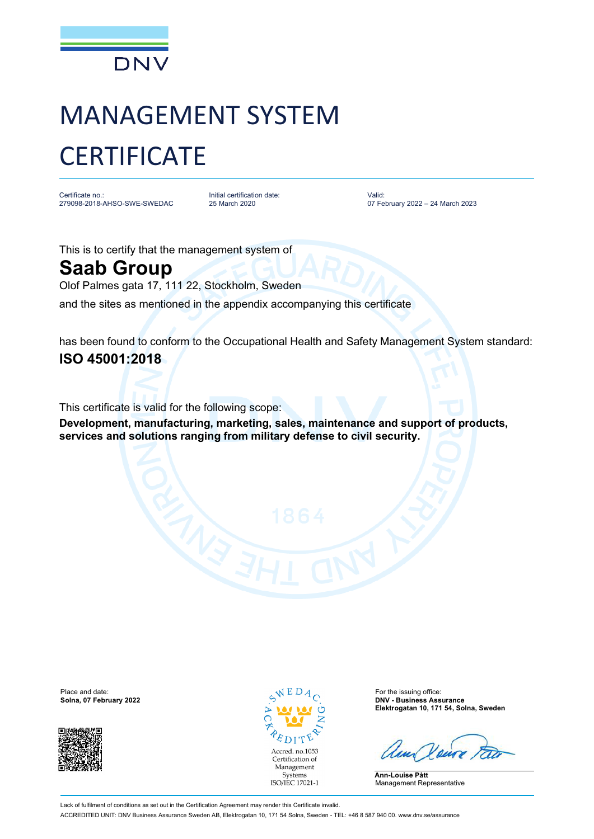

## MANAGEMENT SYSTEM **CERTIFICATE**

Certificate no.: 279098-2018-AHSO-SWE-SWEDAC Initial certification date: 25 March 2020

Valid: 07 February 2022 – 24 March 2023

This is to certify that the management system of

## **Saab Group**

Olof Palmes gata 17, 111 22, Stockholm, Sweden

and the sites as mentioned in the appendix accompanying this certificate

has been found to conform to the Occupational Health and Safety Management System standard: **ISO 45001:2018**

This certificate is valid for the following scope:

**Development, manufacturing, marketing, sales, maintenance and support of products, services and solutions ranging from military defense to civil security.**

Place and date: For the issuing office: For the issuing office:



Accred. no.1053 Certification of Management Systems ISO/IEC 17021-1

**Solna, 07 February 2022 DNV - Business Assurance Elektrogatan 10, 171 54, Solna, Sweden**

**Ann-Louise Pått** Management Representative

Lack of fulfilment of conditions as set out in the Certification Agreement may render this Certificate invalid. ACCREDITED UNIT: DNV Business Assurance Sweden AB, Elektrogatan 10, 171 54 Solna, Sweden - TEL: +46 8 587 940 00. [www.dnv.se/assurance](http://www.dnv.se/assurance)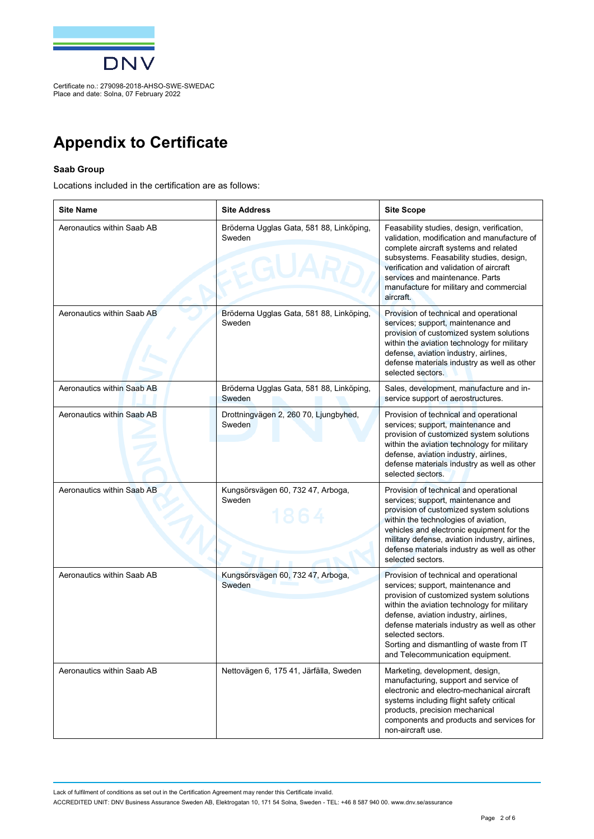

## **Appendix to Certificate**

## **Saab Group**

Locations included in the certification are as follows:

| <b>Site Name</b>           | <b>Site Address</b>                                | <b>Site Scope</b>                                                                                                                                                                                                                                                                                                                                                    |
|----------------------------|----------------------------------------------------|----------------------------------------------------------------------------------------------------------------------------------------------------------------------------------------------------------------------------------------------------------------------------------------------------------------------------------------------------------------------|
| Aeronautics within Saab AB | Bröderna Ugglas Gata, 581 88, Linköping,<br>Sweden | Feasability studies, design, verification,<br>validation, modification and manufacture of<br>complete aircraft systems and related<br>subsystems. Feasability studies, design,<br>verification and validation of aircraft<br>services and maintenance. Parts<br>manufacture for military and commercial<br>aircraft.                                                 |
| Aeronautics within Saab AB | Bröderna Ugglas Gata, 581 88, Linköping,<br>Sweden | Provision of technical and operational<br>services; support, maintenance and<br>provision of customized system solutions<br>within the aviation technology for military<br>defense, aviation industry, airlines,<br>defense materials industry as well as other<br>selected sectors.                                                                                 |
| Aeronautics within Saab AB | Bröderna Ugglas Gata, 581 88, Linköping,<br>Sweden | Sales, development, manufacture and in-<br>service support of aerostructures.                                                                                                                                                                                                                                                                                        |
| Aeronautics within Saab AB | Drottningvägen 2, 260 70, Ljungbyhed,<br>Sweden    | Provision of technical and operational<br>services; support, maintenance and<br>provision of customized system solutions<br>within the aviation technology for military<br>defense, aviation industry, airlines,<br>defense materials industry as well as other<br>selected sectors.                                                                                 |
| Aeronautics within Saab AB | Kungsörsvägen 60, 732 47, Arboga,<br>Sweden        | Provision of technical and operational<br>services; support, maintenance and<br>provision of customized system solutions<br>within the technologies of aviation,<br>vehicles and electronic equipment for the<br>military defense, aviation industry, airlines,<br>defense materials industry as well as other<br>selected sectors.                                  |
| Aeronautics within Saab AB | Kungsörsvägen 60, 732 47, Arboga,<br>Sweden        | Provision of technical and operational<br>services; support, maintenance and<br>provision of customized system solutions<br>within the aviation technology for military<br>defense, aviation industry, airlines,<br>defense materials industry as well as other<br>selected sectors.<br>Sorting and dismantling of waste from IT<br>and Telecommunication equipment. |
| Aeronautics within Saab AB | Nettovägen 6, 175 41, Järfälla, Sweden             | Marketing, development, design,<br>manufacturing, support and service of<br>electronic and electro-mechanical aircraft<br>systems including flight safety critical<br>products, precision mechanical<br>components and products and services for<br>non-aircraft use.                                                                                                |

Lack of fulfilment of conditions as set out in the Certification Agreement may render this Certificate invalid.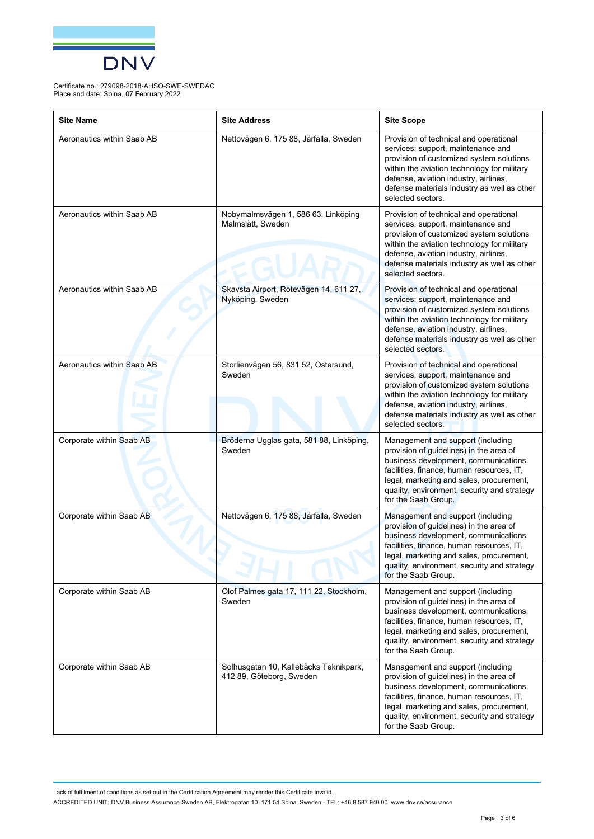

| <b>Site Name</b>           | <b>Site Address</b>                                                | <b>Site Scope</b>                                                                                                                                                                                                                                                                    |
|----------------------------|--------------------------------------------------------------------|--------------------------------------------------------------------------------------------------------------------------------------------------------------------------------------------------------------------------------------------------------------------------------------|
| Aeronautics within Saab AB | Nettovägen 6, 175 88, Järfälla, Sweden                             | Provision of technical and operational<br>services; support, maintenance and<br>provision of customized system solutions<br>within the aviation technology for military<br>defense, aviation industry, airlines,<br>defense materials industry as well as other<br>selected sectors. |
| Aeronautics within Saab AB | Nobymalmsvägen 1, 586 63, Linköping<br>Malmslätt, Sweden           | Provision of technical and operational<br>services; support, maintenance and<br>provision of customized system solutions<br>within the aviation technology for military<br>defense, aviation industry, airlines,<br>defense materials industry as well as other<br>selected sectors. |
| Aeronautics within Saab AB | Skavsta Airport, Rotevägen 14, 611 27,<br>Nyköping, Sweden         | Provision of technical and operational<br>services; support, maintenance and<br>provision of customized system solutions<br>within the aviation technology for military<br>defense, aviation industry, airlines,<br>defense materials industry as well as other<br>selected sectors. |
| Aeronautics within Saab AB | Storlienvägen 56, 831 52, Östersund,<br>Sweden                     | Provision of technical and operational<br>services; support, maintenance and<br>provision of customized system solutions<br>within the aviation technology for military<br>defense, aviation industry, airlines,<br>defense materials industry as well as other<br>selected sectors. |
| Corporate within Saab AB   | Bröderna Ugglas gata, 581 88, Linköping,<br>Sweden                 | Management and support (including<br>provision of guidelines) in the area of<br>business development, communications,<br>facilities, finance, human resources, IT,<br>legal, marketing and sales, procurement,<br>quality, environment, security and strategy<br>for the Saab Group. |
| Corporate within Saab AB   | Nettovägen 6, 175 88, Järfälla, Sweden                             | Management and support (including<br>provision of guidelines) in the area of<br>business development, communications,<br>facilities, finance, human resources, IT,<br>legal, marketing and sales, procurement,<br>quality, environment, security and strategy<br>for the Saab Group. |
| Corporate within Saab AB   | Olof Palmes gata 17, 111 22, Stockholm,<br>Sweden                  | Management and support (including<br>provision of guidelines) in the area of<br>business development, communications,<br>facilities, finance, human resources, IT,<br>legal, marketing and sales, procurement,<br>quality, environment, security and strategy<br>for the Saab Group. |
| Corporate within Saab AB   | Solhusgatan 10, Kallebäcks Teknikpark,<br>412 89, Göteborg, Sweden | Management and support (including<br>provision of guidelines) in the area of<br>business development, communications,<br>facilities, finance, human resources, IT,<br>legal, marketing and sales, procurement,<br>quality, environment, security and strategy<br>for the Saab Group. |

Lack of fulfilment of conditions as set out in the Certification Agreement may render this Certificate invalid.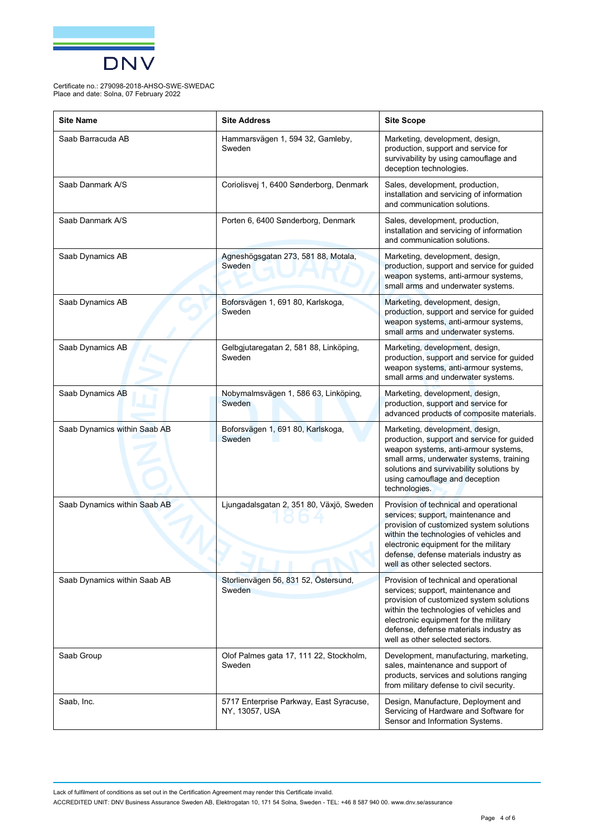

| <b>Site Name</b>             | <b>Site Address</b>                                       | <b>Site Scope</b>                                                                                                                                                                                                                                                                         |
|------------------------------|-----------------------------------------------------------|-------------------------------------------------------------------------------------------------------------------------------------------------------------------------------------------------------------------------------------------------------------------------------------------|
| Saab Barracuda AB            | Hammarsvägen 1, 594 32, Gamleby,<br>Sweden                | Marketing, development, design,<br>production, support and service for<br>survivability by using camouflage and<br>deception technologies.                                                                                                                                                |
| Saab Danmark A/S             | Coriolisvej 1, 6400 Sønderborg, Denmark                   | Sales, development, production,<br>installation and servicing of information<br>and communication solutions.                                                                                                                                                                              |
| Saab Danmark A/S             | Porten 6, 6400 Sønderborg, Denmark                        | Sales, development, production,<br>installation and servicing of information<br>and communication solutions.                                                                                                                                                                              |
| Saab Dynamics AB             | Agneshögsgatan 273, 581 88, Motala,<br>Sweden             | Marketing, development, design,<br>production, support and service for guided<br>weapon systems, anti-armour systems,<br>small arms and underwater systems.                                                                                                                               |
| Saab Dynamics AB             | Boforsvägen 1, 691 80, Karlskoga,<br>Sweden               | Marketing, development, design,<br>production, support and service for guided<br>weapon systems, anti-armour systems,<br>small arms and underwater systems.                                                                                                                               |
| Saab Dynamics AB             | Gelbgjutaregatan 2, 581 88, Linköping,<br>Sweden          | Marketing, development, design,<br>production, support and service for guided<br>weapon systems, anti-armour systems,<br>small arms and underwater systems.                                                                                                                               |
| Saab Dynamics AB             | Nobymalmsvägen 1, 586 63, Linköping,<br>Sweden            | Marketing, development, design,<br>production, support and service for<br>advanced products of composite materials.                                                                                                                                                                       |
| Saab Dynamics within Saab AB | Boforsvägen 1, 691 80, Karlskoga,<br>Sweden               | Marketing, development, design,<br>production, support and service for guided<br>weapon systems, anti-armour systems,<br>small arms, underwater systems, training<br>solutions and survivability solutions by<br>using camouflage and deception<br>technologies.                          |
| Saab Dynamics within Saab AB | Ljungadalsgatan 2, 351 80, Växjö, Sweden                  | Provision of technical and operational<br>services; support, maintenance and<br>provision of customized system solutions<br>within the technologies of vehicles and<br>electronic equipment for the military<br>defense, defense materials industry as<br>well as other selected sectors. |
| Saab Dynamics within Saab AB | Storlienvägen 56, 831 52, Östersund,<br>Sweden            | Provision of technical and operational<br>services; support, maintenance and<br>provision of customized system solutions<br>within the technologies of vehicles and<br>electronic equipment for the military<br>defense, defense materials industry as<br>well as other selected sectors. |
| Saab Group                   | Olof Palmes gata 17, 111 22, Stockholm,<br>Sweden         | Development, manufacturing, marketing,<br>sales, maintenance and support of<br>products, services and solutions ranging<br>from military defense to civil security.                                                                                                                       |
| Saab, Inc.                   | 5717 Enterprise Parkway, East Syracuse,<br>NY, 13057, USA | Design, Manufacture, Deployment and<br>Servicing of Hardware and Software for<br>Sensor and Information Systems.                                                                                                                                                                          |

Lack of fulfilment of conditions as set out in the Certification Agreement may render this Certificate invalid.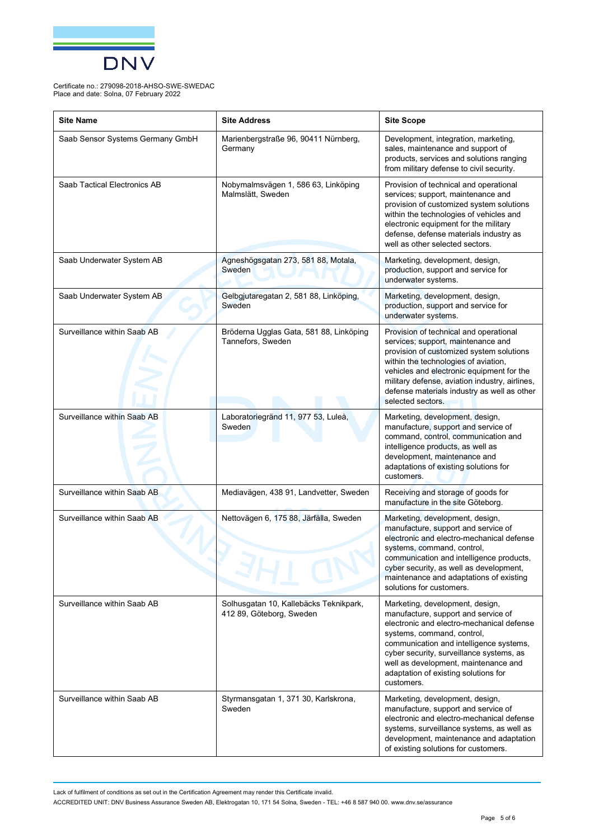

| <b>Site Name</b>                 | <b>Site Address</b>                                                | <b>Site Scope</b>                                                                                                                                                                                                                                                                                                                      |
|----------------------------------|--------------------------------------------------------------------|----------------------------------------------------------------------------------------------------------------------------------------------------------------------------------------------------------------------------------------------------------------------------------------------------------------------------------------|
| Saab Sensor Systems Germany GmbH | Marienbergstraße 96, 90411 Nürnberg,<br>Germany                    | Development, integration, marketing,<br>sales, maintenance and support of<br>products, services and solutions ranging<br>from military defense to civil security.                                                                                                                                                                      |
| Saab Tactical Electronics AB     | Nobymalmsvägen 1, 586 63, Linköping<br>Malmslätt, Sweden           | Provision of technical and operational<br>services; support, maintenance and<br>provision of customized system solutions<br>within the technologies of vehicles and<br>electronic equipment for the military<br>defense, defense materials industry as<br>well as other selected sectors.                                              |
| Saab Underwater System AB        | Agneshögsgatan 273, 581 88, Motala,<br>Sweden                      | Marketing, development, design,<br>production, support and service for<br>underwater systems.                                                                                                                                                                                                                                          |
| Saab Underwater System AB        | Gelbgjutaregatan 2, 581 88, Linköping,<br>Sweden                   | Marketing, development, design,<br>production, support and service for<br>underwater systems.                                                                                                                                                                                                                                          |
| Surveillance within Saab AB      | Bröderna Ugglas Gata, 581 88, Linköping<br>Tannefors, Sweden       | Provision of technical and operational<br>services; support, maintenance and<br>provision of customized system solutions<br>within the technologies of aviation,<br>vehicles and electronic equipment for the<br>military defense, aviation industry, airlines,<br>defense materials industry as well as other<br>selected sectors.    |
| Surveillance within Saab AB      | Laboratoriegränd 11, 977 53, Luleå,<br>Sweden                      | Marketing, development, design,<br>manufacture, support and service of<br>command, control, communication and<br>intelligence products, as well as<br>development, maintenance and<br>adaptations of existing solutions for<br>customers.                                                                                              |
| Surveillance within Saab AB      | Mediavägen, 438 91, Landvetter, Sweden                             | Receiving and storage of goods for<br>manufacture in the site Göteborg.                                                                                                                                                                                                                                                                |
| Surveillance within Saab AB      | Nettovägen 6, 175 88, Järfälla, Sweden                             | Marketing, development, design,<br>manufacture, support and service of<br>electronic and electro-mechanical defense<br>systems, command, control,<br>communication and intelligence products,<br>cyber security, as well as development,<br>maintenance and adaptations of existing<br>solutions for customers.                        |
| Surveillance within Saab AB      | Solhusgatan 10, Kallebäcks Teknikpark,<br>412 89, Göteborg, Sweden | Marketing, development, design,<br>manufacture, support and service of<br>electronic and electro-mechanical defense<br>systems, command, control,<br>communication and intelligence systems,<br>cyber security, surveillance systems, as<br>well as development, maintenance and<br>adaptation of existing solutions for<br>customers. |
| Surveillance within Saab AB      | Styrmansgatan 1, 371 30, Karlskrona,<br>Sweden                     | Marketing, development, design,<br>manufacture, support and service of<br>electronic and electro-mechanical defense<br>systems, surveillance systems, as well as<br>development, maintenance and adaptation<br>of existing solutions for customers.                                                                                    |

Lack of fulfilment of conditions as set out in the Certification Agreement may render this Certificate invalid.